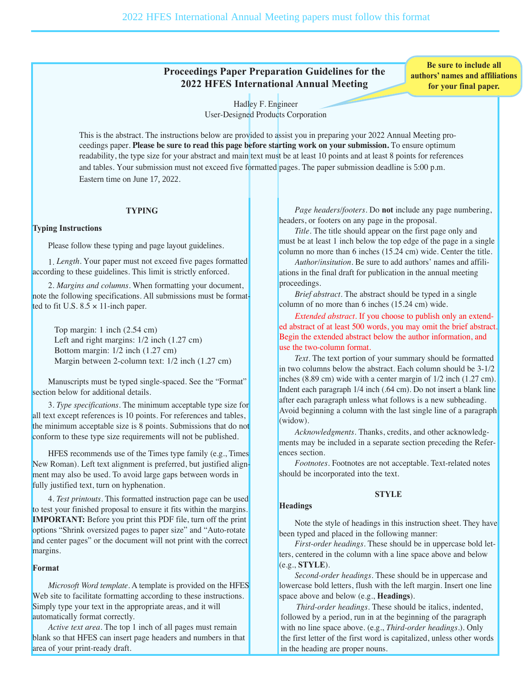# **Proceedings Paper Preparation Guidelines for the 2022 HFES International Annual Meeting**

**Be sure to include all authors' names and affiliations for your final paper.**

Hadley F. Engineer User-Designed Products Corporation

This is the abstract. The instructions below are provided to assist you in preparing your 2022 Annual Meeting proceedings paper. **Please be sure to read this page before starting work on your submission.** To ensure optimum readability, the type size for your abstract and main text must be at least 10 points and at least 8 points for references and tables. Your submission must not exceed five formatted pages. The paper submission deadline is 5:00 p.m. Eastern time on June 17, 2022.

### **TYPING**

### **Typing Instructions**

Please follow these typing and page layout guidelines.

1. *Length.* Your paper must not exceed five pages formatted according to these guidelines. This limit is strictly enforced.

2. *Margins and columns.* When formatting your document, note the following specifications. All submissions must be formatted to fit U.S.  $8.5 \times 11$ -inch paper.

Top margin: 1 inch (2.54 cm) Left and right margins: 1/2 inch (1.27 cm) Bottom margin: 1/2 inch (1.27 cm) Margin between 2-column text: 1/2 inch (1.27 cm)

Manuscripts must be typed single-spaced. See the "Format" section below for additional details.

3. *Type specifications.* The minimum acceptable type size for all text except references is 10 points. For references and tables, the minimum acceptable size is 8 points. Submissions that do not conform to these type size requirements will not be published.

HFES recommends use of the Times type family (e.g., Times New Roman). Left text alignment is preferred, but justified alignment may also be used. To avoid large gaps between words in fully justified text, turn on hyphenation.

4. *Test printouts.* This formatted instruction page can be used to test your finished proposal to ensure it fits within the margins. **IMPORTANT:** Before you print this PDF file, turn off the print options "Shrink oversized pages to paper size" and "Auto-rotate and center pages" or the document will not print with the correct margins.

## **Format**

*Microsoft Word template.* A template is provided on the HFES Web site to facilitate formatting according to these instructions. Simply type your text in the appropriate areas, and it will automatically format correctly.

*Active text area.* The top 1 inch of all pages must remain blank so that HFES can insert page headers and numbers in that area of your print-ready draft.

*Page headers/footers.* Do **not** include any page numbering, headers, or footers on any page in the proposal.

*Title.* The title should appear on the first page only and must be at least 1 inch below the top edge of the page in a single column no more than 6 inches (15.24 cm) wide. Center the title.

*Author/insitution.* Be sure to add authors' names and affiliations in the final draft for publication in the annual meeting proceedings.

*Brief abstract.* The abstract should be typed in a single column of no more than 6 inches (15.24 cm) wide.

*Extended abstract.* If you choose to publish only an extended abstract of at least 500 words, you may omit the brief abstract. Begin the extended abstract below the author information, and use the two-column format.

*Text.* The text portion of your summary should be formatted in two columns below the abstract. Each column should be 3-1/2 inches (8.89 cm) wide with a center margin of 1/2 inch (1.27 cm). Indent each paragraph 1/4 inch (.64 cm). Do not insert a blank line after each paragraph unless what follows is a new subheading. Avoid beginning a column with the last single line of a paragraph (widow).

*Acknowledgments.* Thanks, credits, and other acknowledgments may be included in a separate section preceding the Refer ences section.

*Footnotes.* Footnotes are not acceptable. Text-related notes should be incorporated into the text.

**Headings**

Note the style of headings in this instruction sheet. They have been typed and placed in the following manner:

**STYLE**

*First-order headings.* These should be in uppercase bold letters, centered in the column with a line space above and below (e.g., **STYLE**).

*Second-order headings.* These should be in uppercase and lowercase bold letters, flush with the left margin. Insert one line space above and below (e.g., **Headings**).

*Third-order headings.* These should be italics, indented, followed by a period, run in at the beginning of the paragraph with no line space above. (e.g., *Third-order headings.*). Only the first letter of the first word is capitalized, unless other words in the heading are proper nouns.